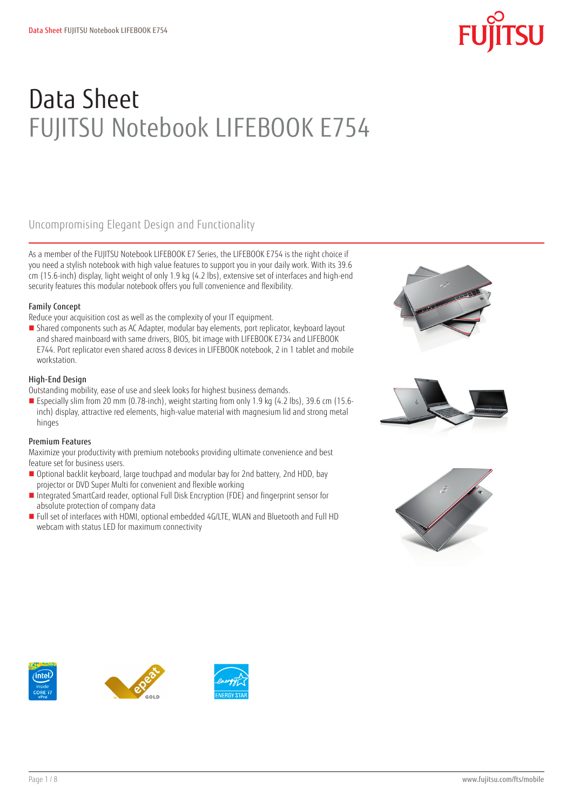# Data Sheet FUJITSU Notebook LIFEBOOK E754

### Uncompromising Elegant Design and Functionality

As a member of the FUJITSU Notebook LIFEBOOK E7 Series, the LIFEBOOK E754 is the right choice if you need a stylish notebook with high value features to support you in your daily work. With its 39.6 cm (15.6-inch) display, light weight of only 1.9 kg (4.2 lbs), extensive set of interfaces and high-end security features this modular notebook offers you full convenience and flexibility.

### Family Concept

Reduce your acquisition cost as well as the complexity of your IT equipment.

Shared components such as AC Adapter, modular bay elements, port replicator, keyboard layout and shared mainboard with same drivers, BIOS, bit image with LIFEBOOK E734 and LIFEBOOK E744. Port replicator even shared across 8 devices in LIFEBOOK notebook, 2 in 1 tablet and mobile workstation.

### High-End Design

Outstanding mobility, ease of use and sleek looks for highest business demands.

 Especially slim from 20 mm (0.78-inch), weight starting from only 1.9 kg (4.2 lbs), 39.6 cm (15.6 inch) display, attractive red elements, high-value material with magnesium lid and strong metal hinges

### Premium Features

Maximize your productivity with premium notebooks providing ultimate convenience and best feature set for business users.

- Optional backlit keyboard, large touchpad and modular bay for 2nd battery, 2nd HDD, bay projector or DVD Super Multi for convenient and flexible working
- Integrated SmartCard reader, optional Full Disk Encryption (FDE) and fingerprint sensor for absolute protection of company data
- Full set of interfaces with HDMI, optional embedded 4G/LTE, WLAN and Bluetooth and Full HD webcam with status LED for maximum connectivity











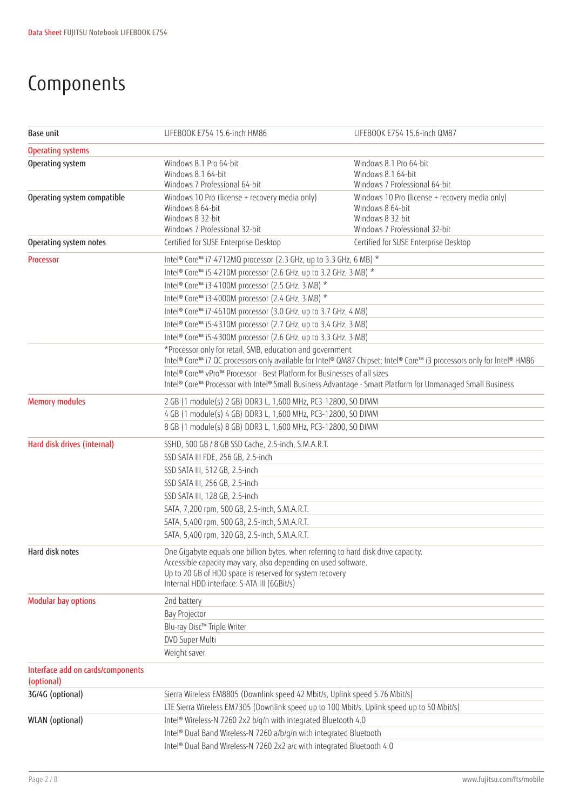## Components

| Base unit                                       | LIFEBOOK E754 15.6-inch HM86                                                                                                                                                                                                                                    | LIFEBOOK E754 15.6-inch QM87                                                                                            |  |
|-------------------------------------------------|-----------------------------------------------------------------------------------------------------------------------------------------------------------------------------------------------------------------------------------------------------------------|-------------------------------------------------------------------------------------------------------------------------|--|
| <b>Operating systems</b>                        |                                                                                                                                                                                                                                                                 |                                                                                                                         |  |
| Operating system                                | Windows 8.1 Pro 64-bit<br>Windows 8.1 64-bit                                                                                                                                                                                                                    | Windows 8.1 Pro 64-bit<br>Windows 8.1 64-bit                                                                            |  |
|                                                 | Windows 7 Professional 64-bit                                                                                                                                                                                                                                   | Windows 7 Professional 64-bit                                                                                           |  |
| Operating system compatible                     | Windows 10 Pro (license + recovery media only)<br>Windows 8 64-bit<br>Windows 8 32-bit<br>Windows 7 Professional 32-bit                                                                                                                                         | Windows 10 Pro (license + recovery media only)<br>Windows 8 64-bit<br>Windows 8 32-bit<br>Windows 7 Professional 32-bit |  |
| Operating system notes                          | Certified for SUSE Enterprise Desktop                                                                                                                                                                                                                           | Certified for SUSE Enterprise Desktop                                                                                   |  |
| Processor                                       | Intel® Core™ i7-4712MQ processor (2.3 GHz, up to 3.3 GHz, 6 MB) *                                                                                                                                                                                               |                                                                                                                         |  |
|                                                 | Intel® Core™ i5-4210M processor (2.6 GHz, up to 3.2 GHz, 3 MB) *                                                                                                                                                                                                |                                                                                                                         |  |
|                                                 | Intel® Core™ i3-4100M processor (2.5 GHz, 3 MB) *                                                                                                                                                                                                               |                                                                                                                         |  |
|                                                 | Intel® Core™ i3-4000M processor (2.4 GHz, 3 MB) *                                                                                                                                                                                                               |                                                                                                                         |  |
|                                                 | Intel® Core™ i7-4610M processor (3.0 GHz, up to 3.7 GHz, 4 MB)                                                                                                                                                                                                  |                                                                                                                         |  |
|                                                 | Intel® Core™ i5-4310M processor (2.7 GHz, up to 3.4 GHz, 3 MB)                                                                                                                                                                                                  |                                                                                                                         |  |
|                                                 | Intel® Core™ i5-4300M processor (2.6 GHz, up to 3.3 GHz, 3 MB)                                                                                                                                                                                                  |                                                                                                                         |  |
|                                                 | *Processor only for retail, SMB, education and government<br>Intel® Core™ i7 QC processors only available for Intel® QM87 Chipset; Intel® Core™ i3 processors only for Intel® HM86                                                                              |                                                                                                                         |  |
|                                                 | Intel® Core™ vPro™ Processor - Best Platform for Businesses of all sizes<br>Intel® Core™ Processor with Intel® Small Business Advantage - Smart Platform for Unmanaged Small Business                                                                           |                                                                                                                         |  |
| <b>Memory modules</b>                           | 2 GB (1 module(s) 2 GB) DDR3 L, 1,600 MHz, PC3-12800, SO DIMM                                                                                                                                                                                                   |                                                                                                                         |  |
|                                                 | 4 GB (1 module(s) 4 GB) DDR3 L, 1,600 MHz, PC3-12800, SO DIMM                                                                                                                                                                                                   |                                                                                                                         |  |
|                                                 | 8 GB (1 module(s) 8 GB) DDR3 L, 1,600 MHz, PC3-12800, SO DIMM                                                                                                                                                                                                   |                                                                                                                         |  |
| Hard disk drives (internal)                     | SSHD, 500 GB / 8 GB SSD Cache, 2.5-inch, S.M.A.R.T.                                                                                                                                                                                                             |                                                                                                                         |  |
|                                                 | SSD SATA III FDE, 256 GB, 2.5-inch                                                                                                                                                                                                                              |                                                                                                                         |  |
|                                                 | SSD SATA III, 512 GB, 2.5-inch                                                                                                                                                                                                                                  |                                                                                                                         |  |
|                                                 | SSD SATA III, 256 GB, 2.5-inch                                                                                                                                                                                                                                  |                                                                                                                         |  |
|                                                 | SSD SATA III, 128 GB, 2.5-inch                                                                                                                                                                                                                                  |                                                                                                                         |  |
|                                                 | SATA, 7,200 rpm, 500 GB, 2.5-inch, S.M.A.R.T.                                                                                                                                                                                                                   |                                                                                                                         |  |
|                                                 | SATA, 5,400 rpm, 500 GB, 2.5-inch, S.M.A.R.T.                                                                                                                                                                                                                   |                                                                                                                         |  |
|                                                 | SATA, 5,400 rpm, 320 GB, 2.5-inch, S.M.A.R.T.                                                                                                                                                                                                                   |                                                                                                                         |  |
| Hard disk notes                                 | One Gigabyte equals one billion bytes, when referring to hard disk drive capacity.<br>Accessible capacity may vary, also depending on used software.<br>Up to 20 GB of HDD space is reserved for system recovery<br>Internal HDD interface: S-ATA III (6GBit/s) |                                                                                                                         |  |
| <b>Modular bay options</b>                      | 2nd battery                                                                                                                                                                                                                                                     |                                                                                                                         |  |
|                                                 |                                                                                                                                                                                                                                                                 |                                                                                                                         |  |
|                                                 | Bay Projector<br>Blu-ray Disc™ Triple Writer                                                                                                                                                                                                                    |                                                                                                                         |  |
|                                                 | DVD Super Multi                                                                                                                                                                                                                                                 |                                                                                                                         |  |
|                                                 | Weight saver                                                                                                                                                                                                                                                    |                                                                                                                         |  |
| Interface add on cards/components<br>(optional) |                                                                                                                                                                                                                                                                 |                                                                                                                         |  |
| 3G/4G (optional)                                | Sierra Wireless EM8805 (Downlink speed 42 Mbit/s, Uplink speed 5.76 Mbit/s)                                                                                                                                                                                     |                                                                                                                         |  |
|                                                 | LTE Sierra Wireless EM7305 (Downlink speed up to 100 Mbit/s, Uplink speed up to 50 Mbit/s)                                                                                                                                                                      |                                                                                                                         |  |
| <b>WLAN</b> (optional)                          | Intel® Wireless-N 7260 2x2 b/g/n with integrated Bluetooth 4.0                                                                                                                                                                                                  |                                                                                                                         |  |
|                                                 | Intel® Dual Band Wireless-N 7260 a/b/g/n with integrated Bluetooth                                                                                                                                                                                              |                                                                                                                         |  |
|                                                 | Intel® Dual Band Wireless-N 7260 2x2 a/c with integrated Bluetooth 4.0                                                                                                                                                                                          |                                                                                                                         |  |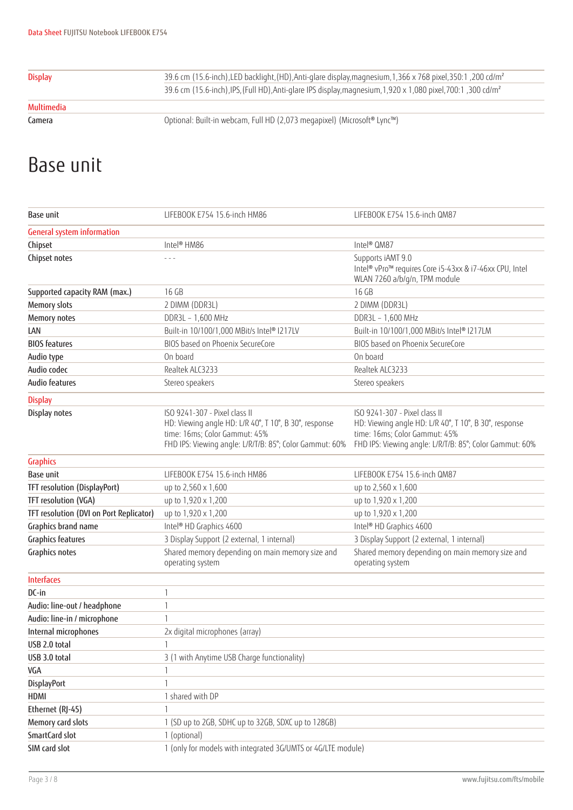| __ | . . |  |
|----|-----|--|

Multimedia

Camera Camera Optional: Built-in webcam, Full HD (2,073 megapixel) (Microsoft® Lync™)

39.6 cm (15.6-inch),LED backlight,(HD),Anti-glare display,magnesium,1,366 x 768 pixel,350:1,200 cd/m<sup>2</sup> 39.6 cm (15.6-inch),IPS,(Full HD),Anti-glare IPS display,magnesium,1,920 x 1,080 pixel,700:1 ,300 cd/m²

### Base unit

| Base unit                               | LIFEBOOK E754 15.6-inch HM86                                                                                                                                                       | LIFEBOOK E754 15.6-inch QM87                                                                                                                                                       |
|-----------------------------------------|------------------------------------------------------------------------------------------------------------------------------------------------------------------------------------|------------------------------------------------------------------------------------------------------------------------------------------------------------------------------------|
| <b>General system information</b>       |                                                                                                                                                                                    |                                                                                                                                                                                    |
| Chipset                                 | Intel <sup>®</sup> HM86                                                                                                                                                            | Intel® QM87                                                                                                                                                                        |
| Chipset notes                           | $- - -$                                                                                                                                                                            | Supports iAMT 9.0<br>Intel® vPro™ requires Core i5-43xx & i7-46xx CPU, Intel<br>WLAN 7260 a/b/g/n, TPM module                                                                      |
| Supported capacity RAM (max.)           | 16 GB                                                                                                                                                                              | 16 GB                                                                                                                                                                              |
| <b>Memory slots</b>                     | 2 DIMM (DDR3L)                                                                                                                                                                     | 2 DIMM (DDR3L)                                                                                                                                                                     |
| Memory notes                            | DDR3L - 1,600 MHz                                                                                                                                                                  | DDR3L - 1,600 MHz                                                                                                                                                                  |
| LAN                                     | Built-in 10/100/1,000 MBit/s Intel® I217LV                                                                                                                                         | Built-in 10/100/1,000 MBit/s Intel® I217LM                                                                                                                                         |
| <b>BIOS</b> features                    | BIOS based on Phoenix SecureCore                                                                                                                                                   | BIOS based on Phoenix SecureCore                                                                                                                                                   |
| Audio type                              | On board                                                                                                                                                                           | On board                                                                                                                                                                           |
| Audio codec                             | Realtek ALC3233                                                                                                                                                                    | Realtek ALC3233                                                                                                                                                                    |
| Audio features                          | Stereo speakers                                                                                                                                                                    | Stereo speakers                                                                                                                                                                    |
| <b>Display</b>                          |                                                                                                                                                                                    |                                                                                                                                                                                    |
| Display notes                           | ISO 9241-307 - Pixel class II<br>HD: Viewing angle HD: L/R 40°, T 10°, B 30°, response<br>time: 16ms; Color Gammut: 45%<br>FHD IPS: Viewing angle: L/R/T/B: 85°; Color Gammut: 60% | ISO 9241-307 - Pixel class II<br>HD: Viewing angle HD: L/R 40°, T 10°, B 30°, response<br>time: 16ms; Color Gammut: 45%<br>FHD IPS: Viewing angle: L/R/T/B: 85°; Color Gammut: 60% |
| <b>Graphics</b>                         |                                                                                                                                                                                    |                                                                                                                                                                                    |
| Base unit                               | LIFEBOOK E754 15.6-inch HM86                                                                                                                                                       | LIFEBOOK E754 15.6-inch QM87                                                                                                                                                       |
| TFT resolution (DisplayPort)            | up to 2,560 x 1,600                                                                                                                                                                | up to 2,560 x 1,600                                                                                                                                                                |
| TFT resolution (VGA)                    | up to 1,920 x 1,200                                                                                                                                                                | up to 1,920 x 1,200                                                                                                                                                                |
| TFT resolution (DVI on Port Replicator) | up to 1,920 x 1,200                                                                                                                                                                | up to 1,920 x 1,200                                                                                                                                                                |
| Graphics brand name                     | Intel® HD Graphics 4600                                                                                                                                                            | Intel® HD Graphics 4600                                                                                                                                                            |
| <b>Graphics features</b>                | 3 Display Support (2 external, 1 internal)                                                                                                                                         | 3 Display Support (2 external, 1 internal)                                                                                                                                         |
| Graphics notes                          | Shared memory depending on main memory size and<br>operating system                                                                                                                | Shared memory depending on main memory size and<br>operating system                                                                                                                |
| <b>Interfaces</b>                       |                                                                                                                                                                                    |                                                                                                                                                                                    |
| $DC-in$                                 | 1                                                                                                                                                                                  |                                                                                                                                                                                    |
| Audio: line-out / headphone             | 1                                                                                                                                                                                  |                                                                                                                                                                                    |
| Audio: line-in / microphone             |                                                                                                                                                                                    |                                                                                                                                                                                    |
| Internal microphones                    | 2x digital microphones (array)                                                                                                                                                     |                                                                                                                                                                                    |
| USB 2.0 total                           | $\mathbf{1}$                                                                                                                                                                       |                                                                                                                                                                                    |
| USB 3.0 total                           | 3 (1 with Anytime USB Charge functionality)                                                                                                                                        |                                                                                                                                                                                    |
| VGA                                     | 1                                                                                                                                                                                  |                                                                                                                                                                                    |
| <b>DisplayPort</b>                      | $\mathbf{1}$                                                                                                                                                                       |                                                                                                                                                                                    |
| <b>HDMI</b>                             | 1 shared with DP                                                                                                                                                                   |                                                                                                                                                                                    |
| Ethernet (RJ-45)                        | 1                                                                                                                                                                                  |                                                                                                                                                                                    |
| Memory card slots                       | 1 (SD up to 2GB, SDHC up to 32GB, SDXC up to 128GB)                                                                                                                                |                                                                                                                                                                                    |
| SmartCard slot                          | 1 (optional)                                                                                                                                                                       |                                                                                                                                                                                    |
| SIM card slot                           | 1 (only for models with integrated 3G/UMTS or 4G/LTE module)                                                                                                                       |                                                                                                                                                                                    |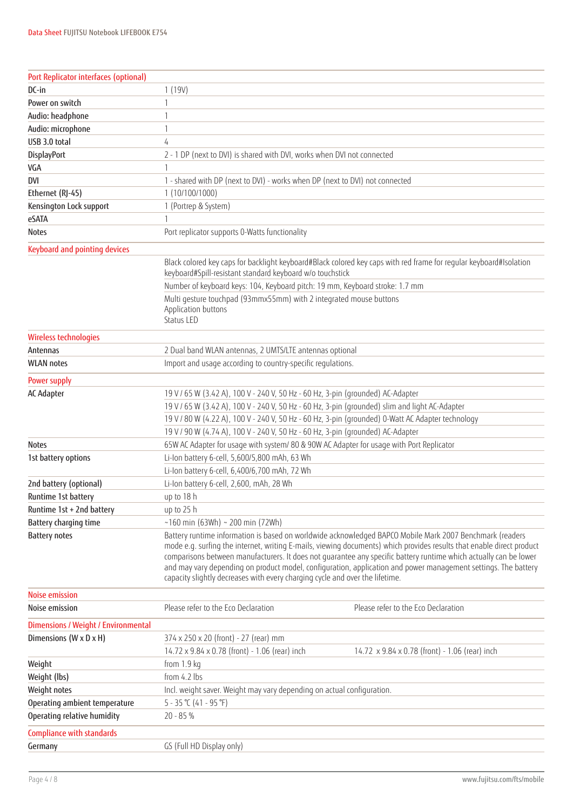| Port Replicator interfaces (optional) |                                                                                                                                                                                                                                                                                                                                                                                                                                                                                                                                                          |  |  |
|---------------------------------------|----------------------------------------------------------------------------------------------------------------------------------------------------------------------------------------------------------------------------------------------------------------------------------------------------------------------------------------------------------------------------------------------------------------------------------------------------------------------------------------------------------------------------------------------------------|--|--|
| $DC-in$                               | 1(19V)                                                                                                                                                                                                                                                                                                                                                                                                                                                                                                                                                   |  |  |
| Power on switch                       |                                                                                                                                                                                                                                                                                                                                                                                                                                                                                                                                                          |  |  |
| Audio: headphone                      |                                                                                                                                                                                                                                                                                                                                                                                                                                                                                                                                                          |  |  |
| Audio: microphone                     | 1                                                                                                                                                                                                                                                                                                                                                                                                                                                                                                                                                        |  |  |
| USB 3.0 total                         | 4                                                                                                                                                                                                                                                                                                                                                                                                                                                                                                                                                        |  |  |
| <b>DisplayPort</b>                    | 2 - 1 DP (next to DVI) is shared with DVI, works when DVI not connected                                                                                                                                                                                                                                                                                                                                                                                                                                                                                  |  |  |
| VGA                                   | $\mathbf{1}$                                                                                                                                                                                                                                                                                                                                                                                                                                                                                                                                             |  |  |
| <b>DVI</b>                            | 1 - shared with DP (next to DVI) - works when DP (next to DVI) not connected                                                                                                                                                                                                                                                                                                                                                                                                                                                                             |  |  |
| Ethernet (RJ-45)                      | 1 (10/100/1000)                                                                                                                                                                                                                                                                                                                                                                                                                                                                                                                                          |  |  |
| Kensington Lock support               | 1 (Portrep & System)                                                                                                                                                                                                                                                                                                                                                                                                                                                                                                                                     |  |  |
| eSATA                                 |                                                                                                                                                                                                                                                                                                                                                                                                                                                                                                                                                          |  |  |
| <b>Notes</b>                          | Port replicator supports 0-Watts functionality                                                                                                                                                                                                                                                                                                                                                                                                                                                                                                           |  |  |
| Keyboard and pointing devices         |                                                                                                                                                                                                                                                                                                                                                                                                                                                                                                                                                          |  |  |
|                                       | Black colored key caps for backlight keyboard#Black colored key caps with red frame for regular keyboard#Isolation<br>keyboard#Spill-resistant standard keyboard w/o touchstick                                                                                                                                                                                                                                                                                                                                                                          |  |  |
|                                       | Number of keyboard keys: 104, Keyboard pitch: 19 mm, Keyboard stroke: 1.7 mm                                                                                                                                                                                                                                                                                                                                                                                                                                                                             |  |  |
|                                       | Multi gesture touchpad (93mmx55mm) with 2 integrated mouse buttons<br>Application buttons<br>Status LED                                                                                                                                                                                                                                                                                                                                                                                                                                                  |  |  |
| Wireless technologies                 |                                                                                                                                                                                                                                                                                                                                                                                                                                                                                                                                                          |  |  |
| Antennas                              | 2 Dual band WLAN antennas, 2 UMTS/LTE antennas optional                                                                                                                                                                                                                                                                                                                                                                                                                                                                                                  |  |  |
| <b>WLAN</b> notes                     | Import and usage according to country-specific regulations.                                                                                                                                                                                                                                                                                                                                                                                                                                                                                              |  |  |
| <b>Power supply</b>                   |                                                                                                                                                                                                                                                                                                                                                                                                                                                                                                                                                          |  |  |
| AC Adapter                            | 19 V / 65 W (3.42 A), 100 V - 240 V, 50 Hz - 60 Hz, 3-pin (grounded) AC-Adapter                                                                                                                                                                                                                                                                                                                                                                                                                                                                          |  |  |
|                                       | 19 V / 65 W (3.42 A), 100 V - 240 V, 50 Hz - 60 Hz, 3-pin (grounded) slim and light AC-Adapter                                                                                                                                                                                                                                                                                                                                                                                                                                                           |  |  |
|                                       | 19 V / 80 W (4.22 A), 100 V - 240 V, 50 Hz - 60 Hz, 3-pin (grounded) 0-Watt AC Adapter technology                                                                                                                                                                                                                                                                                                                                                                                                                                                        |  |  |
|                                       | 19 V / 90 W (4.74 A), 100 V - 240 V, 50 Hz - 60 Hz, 3-pin (grounded) AC-Adapter                                                                                                                                                                                                                                                                                                                                                                                                                                                                          |  |  |
| <b>Notes</b>                          | 65W AC Adapter for usage with system/ 80 & 90W AC Adapter for usage with Port Replicator                                                                                                                                                                                                                                                                                                                                                                                                                                                                 |  |  |
| 1st battery options                   | Li-Ion battery 6-cell, 5,600/5,800 mAh, 63 Wh                                                                                                                                                                                                                                                                                                                                                                                                                                                                                                            |  |  |
|                                       | Li-Ion battery 6-cell, 6,400/6,700 mAh, 72 Wh                                                                                                                                                                                                                                                                                                                                                                                                                                                                                                            |  |  |
| 2nd battery (optional)                | Li-Ion battery 6-cell, 2,600, mAh, 28 Wh                                                                                                                                                                                                                                                                                                                                                                                                                                                                                                                 |  |  |
| Runtime 1st battery                   | up to 18 h                                                                                                                                                                                                                                                                                                                                                                                                                                                                                                                                               |  |  |
| Runtime 1st + 2nd battery             | up to 25 h                                                                                                                                                                                                                                                                                                                                                                                                                                                                                                                                               |  |  |
| Battery charging time                 | ~160 min (63Wh) ~ 200 min (72Wh)                                                                                                                                                                                                                                                                                                                                                                                                                                                                                                                         |  |  |
| <b>Battery notes</b>                  | Battery runtime information is based on worldwide acknowledged BAPCO Mobile Mark 2007 Benchmark (readers<br>mode e.g. surfing the internet, writing E-mails, viewing documents) which provides results that enable direct product<br>comparisons between manufacturers. It does not quarantee any specific battery runtime which actually can be lower<br>and may vary depending on product model, configuration, application and power management settings. The battery<br>capacity slightly decreases with every charging cycle and over the lifetime. |  |  |
| <b>Noise emission</b>                 |                                                                                                                                                                                                                                                                                                                                                                                                                                                                                                                                                          |  |  |
| Noise emission                        | Please refer to the Eco Declaration<br>Please refer to the Eco Declaration                                                                                                                                                                                                                                                                                                                                                                                                                                                                               |  |  |
| Dimensions / Weight / Environmental   |                                                                                                                                                                                                                                                                                                                                                                                                                                                                                                                                                          |  |  |
| Dimensions (W x D x H)                | 374 x 250 x 20 (front) - 27 (rear) mm                                                                                                                                                                                                                                                                                                                                                                                                                                                                                                                    |  |  |
|                                       | 14.72 x 9.84 x 0.78 (front) - 1.06 (rear) inch<br>14.72 x 9.84 x 0.78 (front) - 1.06 (rear) inch                                                                                                                                                                                                                                                                                                                                                                                                                                                         |  |  |
| Weight                                | from 1.9 kg                                                                                                                                                                                                                                                                                                                                                                                                                                                                                                                                              |  |  |
| Weight (lbs)                          | from 4.2 lbs                                                                                                                                                                                                                                                                                                                                                                                                                                                                                                                                             |  |  |
| Weight notes                          | Incl. weight saver. Weight may vary depending on actual configuration.                                                                                                                                                                                                                                                                                                                                                                                                                                                                                   |  |  |
| Operating ambient temperature         | 5 - 35 °C (41 - 95 °F)                                                                                                                                                                                                                                                                                                                                                                                                                                                                                                                                   |  |  |
| Operating relative humidity           | 20 - 85 %                                                                                                                                                                                                                                                                                                                                                                                                                                                                                                                                                |  |  |
| <b>Compliance with standards</b>      |                                                                                                                                                                                                                                                                                                                                                                                                                                                                                                                                                          |  |  |
| Germany                               | GS (Full HD Display only)                                                                                                                                                                                                                                                                                                                                                                                                                                                                                                                                |  |  |
|                                       |                                                                                                                                                                                                                                                                                                                                                                                                                                                                                                                                                          |  |  |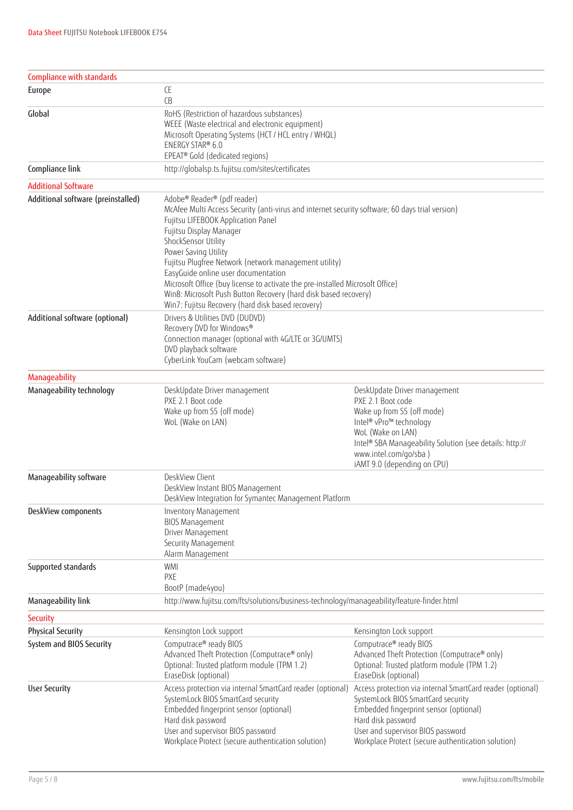| <b>Compliance with standards</b>   |                                                                                                                                                                                                                                                                                                                                                                                                                                                                                                                                                         |                                                                                                                                                                                                                                                             |  |
|------------------------------------|---------------------------------------------------------------------------------------------------------------------------------------------------------------------------------------------------------------------------------------------------------------------------------------------------------------------------------------------------------------------------------------------------------------------------------------------------------------------------------------------------------------------------------------------------------|-------------------------------------------------------------------------------------------------------------------------------------------------------------------------------------------------------------------------------------------------------------|--|
| Europe                             | <b>CE</b><br>CB                                                                                                                                                                                                                                                                                                                                                                                                                                                                                                                                         |                                                                                                                                                                                                                                                             |  |
| Global                             | RoHS (Restriction of hazardous substances)<br>WEEE (Waste electrical and electronic equipment)<br>Microsoft Operating Systems (HCT / HCL entry / WHQL)<br>ENERGY STAR® 6.0<br>EPEAT® Gold (dedicated regions)                                                                                                                                                                                                                                                                                                                                           |                                                                                                                                                                                                                                                             |  |
| Compliance link                    | http://qlobalsp.ts.fujitsu.com/sites/certificates                                                                                                                                                                                                                                                                                                                                                                                                                                                                                                       |                                                                                                                                                                                                                                                             |  |
| <b>Additional Software</b>         |                                                                                                                                                                                                                                                                                                                                                                                                                                                                                                                                                         |                                                                                                                                                                                                                                                             |  |
| Additional software (preinstalled) | Adobe® Reader® (pdf reader)<br>McAfee Multi Access Security (anti-virus and internet security software; 60 days trial version)<br>Fujitsu LIFEBOOK Application Panel<br>Fujitsu Display Manager<br>ShockSensor Utility<br>Power Saving Utility<br>Fujitsu Plugfree Network (network management utility)<br>EasyGuide online user documentation<br>Microsoft Office (buy license to activate the pre-installed Microsoft Office)<br>Win8: Microsoft Push Button Recovery (hard disk based recovery)<br>Win7: Fujitsu Recovery (hard disk based recovery) |                                                                                                                                                                                                                                                             |  |
| Additional software (optional)     | Drivers & Utilities DVD (DUDVD)<br>Recovery DVD for Windows®<br>Connection manager (optional with 4G/LTE or 3G/UMTS)<br>DVD playback software<br>CyberLink YouCam (webcam software)                                                                                                                                                                                                                                                                                                                                                                     |                                                                                                                                                                                                                                                             |  |
| Manageability                      |                                                                                                                                                                                                                                                                                                                                                                                                                                                                                                                                                         |                                                                                                                                                                                                                                                             |  |
| Manageability technology           | DeskUpdate Driver management<br>PXE 2.1 Boot code<br>Wake up from S5 (off mode)<br>WoL (Wake on LAN)                                                                                                                                                                                                                                                                                                                                                                                                                                                    | DeskUpdate Driver management<br>PXE 2.1 Boot code<br>Wake up from S5 (off mode)<br>Intel® vPro™ technology<br>WoL (Wake on LAN)<br>Intel® SBA Manageability Solution (see details: http://<br>www.intel.com/go/sba)<br>iAMT 9.0 (depending on CPU)          |  |
| Manageability software             | DeskView Client<br>DeskView Instant BIOS Management<br>DeskView Integration for Symantec Management Platform                                                                                                                                                                                                                                                                                                                                                                                                                                            |                                                                                                                                                                                                                                                             |  |
| DeskView components                | Inventory Management<br><b>BIOS Management</b><br>Driver Management<br>Security Management<br>Alarm Management                                                                                                                                                                                                                                                                                                                                                                                                                                          |                                                                                                                                                                                                                                                             |  |
| Supported standards                | WMI<br>PXE<br>BootP (made4you)                                                                                                                                                                                                                                                                                                                                                                                                                                                                                                                          |                                                                                                                                                                                                                                                             |  |
| Manageability link                 | http://www.fujitsu.com/fts/solutions/business-technology/manageability/feature-finder.html                                                                                                                                                                                                                                                                                                                                                                                                                                                              |                                                                                                                                                                                                                                                             |  |
| <b>Security</b>                    |                                                                                                                                                                                                                                                                                                                                                                                                                                                                                                                                                         |                                                                                                                                                                                                                                                             |  |
| <b>Physical Security</b>           | Kensington Lock support                                                                                                                                                                                                                                                                                                                                                                                                                                                                                                                                 | Kensington Lock support                                                                                                                                                                                                                                     |  |
| System and BIOS Security           | Computrace® ready BIOS<br>Advanced Theft Protection (Computrace® only)<br>Optional: Trusted platform module (TPM 1.2)<br>EraseDisk (optional)                                                                                                                                                                                                                                                                                                                                                                                                           | Computrace® ready BIOS<br>Advanced Theft Protection (Computrace® only)<br>Optional: Trusted platform module (TPM 1.2)<br>EraseDisk (optional)                                                                                                               |  |
| <b>User Security</b>               | Access protection via internal SmartCard reader (optional)<br>SystemLock BIOS SmartCard security<br>Embedded fingerprint sensor (optional)<br>Hard disk password<br>User and supervisor BIOS password<br>Workplace Protect (secure authentication solution)                                                                                                                                                                                                                                                                                             | Access protection via internal SmartCard reader (optional)<br>SystemLock BIOS SmartCard security<br>Embedded fingerprint sensor (optional)<br>Hard disk password<br>User and supervisor BIOS password<br>Workplace Protect (secure authentication solution) |  |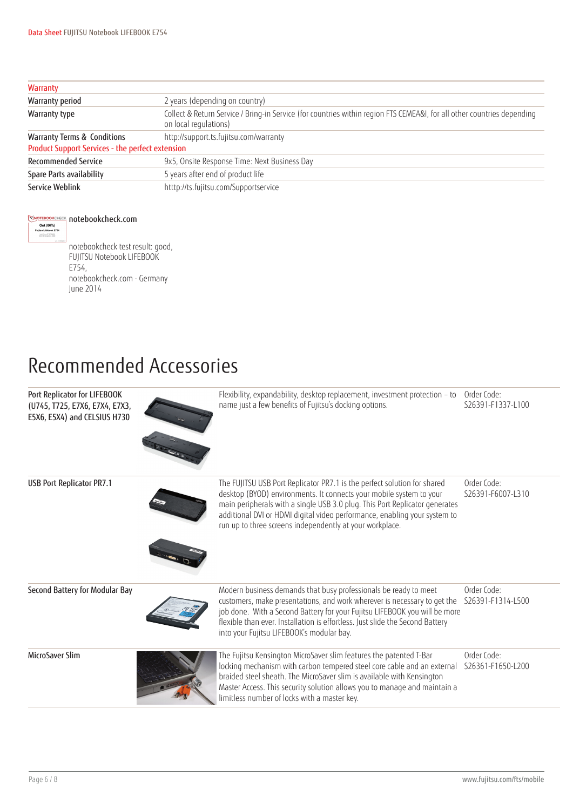| Warranty                                         |                                                                                                                                                  |  |  |
|--------------------------------------------------|--------------------------------------------------------------------------------------------------------------------------------------------------|--|--|
| Warranty period                                  | 2 years (depending on country)                                                                                                                   |  |  |
| Warranty type                                    | Collect & Return Service / Bring-in Service (for countries within region FTS CEMEA&I, for all other countries depending<br>on local regulations) |  |  |
| <b>Warranty Terms &amp; Conditions</b>           | http://support.ts.fujitsu.com/warranty                                                                                                           |  |  |
| Product Support Services - the perfect extension |                                                                                                                                                  |  |  |
| <b>Recommended Service</b>                       | 9x5, Onsite Response Time: Next Business Day                                                                                                     |  |  |
| <b>Spare Parts availability</b>                  | 5 years after end of product life                                                                                                                |  |  |
| Service Weblink                                  | htttp://ts.fujitsu.com/Supportservice                                                                                                            |  |  |

### **MOTEBOOKCHECK NOtebookcheck.com**

**Gut (86%)**<br>Fujitsu Lifebook E754<br>
Mar Cour P-472302<br>
Mar PD Craptus 4000

notebookcheck test result: good, FUJITSU Notebook LIFEBOOK E754, notebookcheck.com - Germany June 2014

### Recommended Accessories

| Port Replicator for LIFEBOOK<br>(U745, T725, E7X6, E7X4, E7X3,<br>E5X6, E5X4) and CELSIUS H730 | Flexibility, expandability, desktop replacement, investment protection - to<br>name just a few benefits of Fujitsu's docking options.                                                                                                                                                                                                                                   | Order Code:<br>S26391-F1337-L100 |
|------------------------------------------------------------------------------------------------|-------------------------------------------------------------------------------------------------------------------------------------------------------------------------------------------------------------------------------------------------------------------------------------------------------------------------------------------------------------------------|----------------------------------|
| <b>USB Port Replicator PR7.1</b>                                                               | The FUJITSU USB Port Replicator PR7.1 is the perfect solution for shared<br>desktop (BYOD) environments. It connects your mobile system to your<br>main peripherals with a single USB 3.0 plug. This Port Replicator generates<br>additional DVI or HDMI digital video performance, enabling your system to<br>run up to three screens independently at your workplace. | Order Code:<br>S26391-F6007-L310 |
| Second Battery for Modular Bay                                                                 | Modern business demands that busy professionals be ready to meet<br>customers, make presentations, and work wherever is necessary to get the<br>job done. With a Second Battery for your Fujitsu LIFEBOOK you will be more<br>flexible than ever. Installation is effortless. Just slide the Second Battery<br>into your Fujitsu LIFEBOOK's modular bay.                | Order Code:<br>S26391-F1314-L500 |
| MicroSaver Slim                                                                                | The Fujitsu Kensington MicroSaver slim features the patented T-Bar<br>locking mechanism with carbon tempered steel core cable and an external<br>braided steel sheath. The MicroSaver slim is available with Kensington<br>Master Access. This security solution allows you to manage and maintain a<br>limitless number of locks with a master key.                    | Order Code:<br>S26361-F1650-L200 |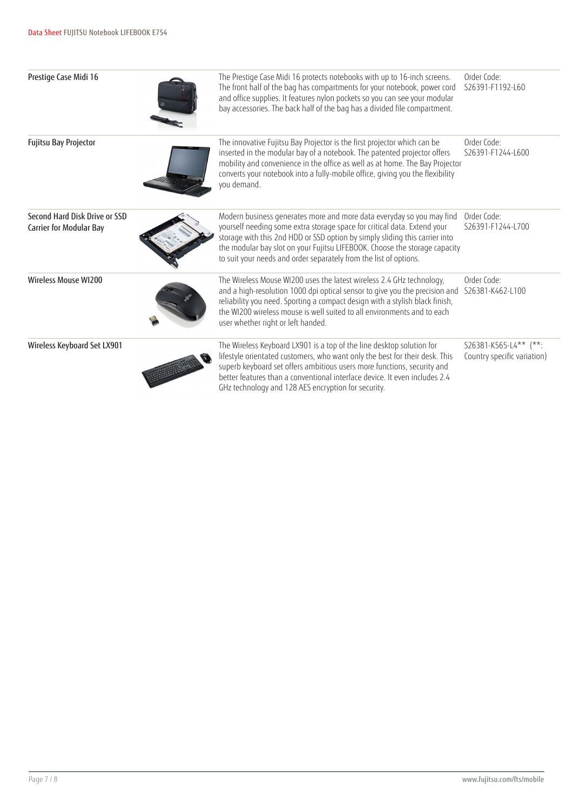| Prestige Case Midi 16                                    | The Prestige Case Midi 16 protects notebooks with up to 16-inch screens.<br>The front half of the bag has compartments for your notebook, power cord<br>and office supplies. It features nylon pockets so you can see your modular<br>bay accessories. The back half of the bag has a divided file compartment.                                                                     | Order Code:<br>S26391-F1192-L60                      |
|----------------------------------------------------------|-------------------------------------------------------------------------------------------------------------------------------------------------------------------------------------------------------------------------------------------------------------------------------------------------------------------------------------------------------------------------------------|------------------------------------------------------|
| Fujitsu Bay Projector                                    | The innovative Fujitsu Bay Projector is the first projector which can be<br>inserted in the modular bay of a notebook. The patented projector offers<br>mobility and convenience in the office as well as at home. The Bay Projector<br>converts your notebook into a fully-mobile office, giving you the flexibility<br>you demand.                                                | Order Code:<br>S26391-F1244-L600                     |
| Second Hard Disk Drive or SSD<br>Carrier for Modular Bay | Modern business generates more and more data everyday so you may find<br>yourself needing some extra storage space for critical data. Extend your<br>storage with this 2nd HDD or SSD option by simply sliding this carrier into<br>the modular bay slot on your Fujitsu LIFEBOOK. Choose the storage capacity<br>to suit your needs and order separately from the list of options. | Order Code:<br>S26391-F1244-L700                     |
| Wireless Mouse WI200                                     | The Wireless Mouse WI200 uses the latest wireless 2.4 GHz technology,<br>and a high-resolution 1000 dpi optical sensor to give you the precision and S26381-K462-L100<br>reliability you need. Sporting a compact design with a stylish black finish,<br>the WI200 wireless mouse is well suited to all environments and to each<br>user whether right or left handed.              | Order Code:                                          |
| Wireless Keyboard Set LX901                              | The Wireless Keyboard LX901 is a top of the line desktop solution for<br>lifestyle orientated customers, who want only the best for their desk. This<br>superb keyboard set offers ambitious users more functions, security and<br>better features than a conventional interface device. It even includes 2.4<br>GHz technology and 128 AES encryption for security.                | S26381-K565-L4** (**:<br>Country specific variation) |